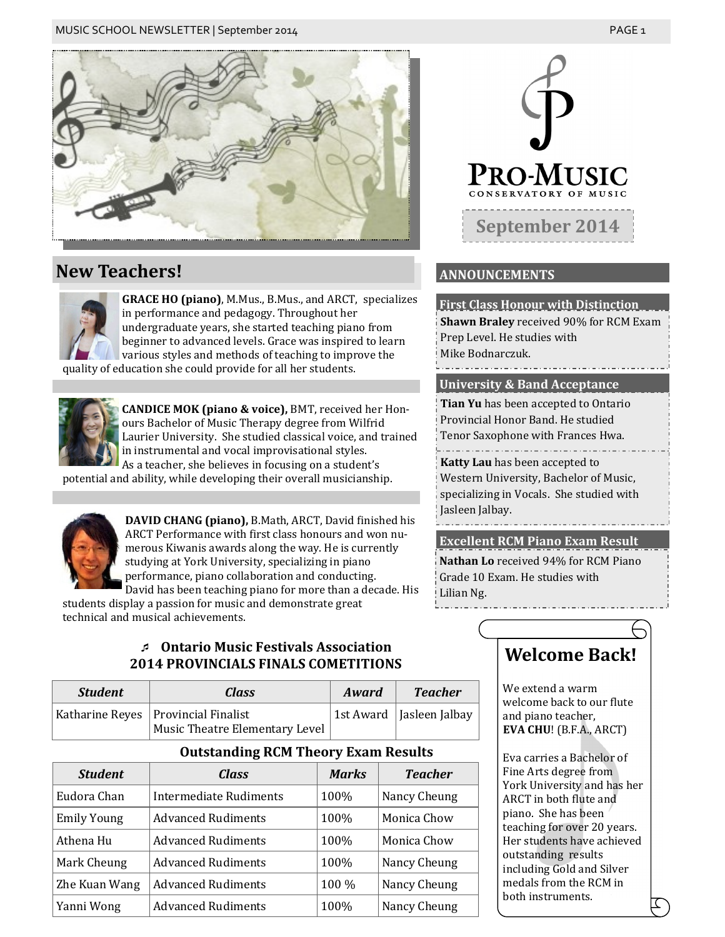

### **New Teachers!**

**GRACE HO (piano)**, M.Mus., B.Mus., and ARCT, specializes in performance and pedagogy. Throughout her undergraduate years, she started teaching piano from beginner to advanced levels. Grace was inspired to learn various styles and methods of teaching to improve the quality of education she could provide for all her students.

**CANDICE MOK (piano & voice),** BMT, received her Honours Bachelor of Music Therapy degree from Wilfrid Laurier University. She studied classical voice, and trained in instrumental and vocal improvisational styles. As a teacher, she believes in focusing on a student's

potential and ability, while developing their overall musicianship.



**DAVID CHANG (piano),** B.Math, ARCT, David finished his ARCT Performance with first class honours and won numerous Kiwanis awards along the way. He is currently studying at York University, specializing in piano performance, piano collaboration and conducting. David has been teaching piano for more than a decade. His

students display a passion for music and demonstrate great technical and musical achievements.

### **Ontario Music Festivals Association 2014 PROVINCIALS FINALS COMETITIONS**

| <b>Student</b> | <b>Class</b>                                                            | Award | <b>Teacher</b>             |
|----------------|-------------------------------------------------------------------------|-------|----------------------------|
|                | Katharine Reyes   Provincial Finalist<br>Music Theatre Elementary Level |       | 1st Award   Jasleen Jalbay |

### **Outstanding RCM Theory Exam Results**

| <b>Student</b>     | Class                     | <b>Marks</b> | <b>Teacher</b> |
|--------------------|---------------------------|--------------|----------------|
| Eudora Chan        | Intermediate Rudiments    | 100%         | Nancy Cheung   |
| <b>Emily Young</b> | <b>Advanced Rudiments</b> | 100%         | Monica Chow    |
| Athena Hu          | <b>Advanced Rudiments</b> | 100%         | Monica Chow    |
| Mark Cheung        | <b>Advanced Rudiments</b> | 100%         | Nancy Cheung   |
| Zhe Kuan Wang      | <b>Advanced Rudiments</b> | 100 %        | Nancy Cheung   |
| Yanni Wong         | <b>Advanced Rudiments</b> | 100%         | Nancy Cheung   |



### **ANNOUNCEMENTS**

**First Class Honour with Distinction Shawn Braley** received 90% for RCM Exam Prep Level. He studies with Mike Bodnarczuk.

**University & Band Acceptance**

**Tian Yu** has been accepted to Ontario Provincial Honor Band. He studied Tenor Saxophone with Frances Hwa. **Katty Lau** has been accepted to Western University, Bachelor of Music,

specializing in Vocals. She studied with Jasleen Jalbay.

**Excellent RCM Piano Exam Result**

**Nathan Lo** received 94% for RCM Piano Grade 10 Exam. He studies with Lilian Ng.

## **Welcome Back!**

We extend a warm welcome back to our flute and piano teacher, **EVA CHU**! (B.F.A., ARCT)

Eva carries a Bachelor of Fine Arts degree from York University and has her ARCT in both flute and piano. She has been teaching for over 20 years. Her students have achieved outstanding results including Gold and Silver medals from the RCM in both instruments.